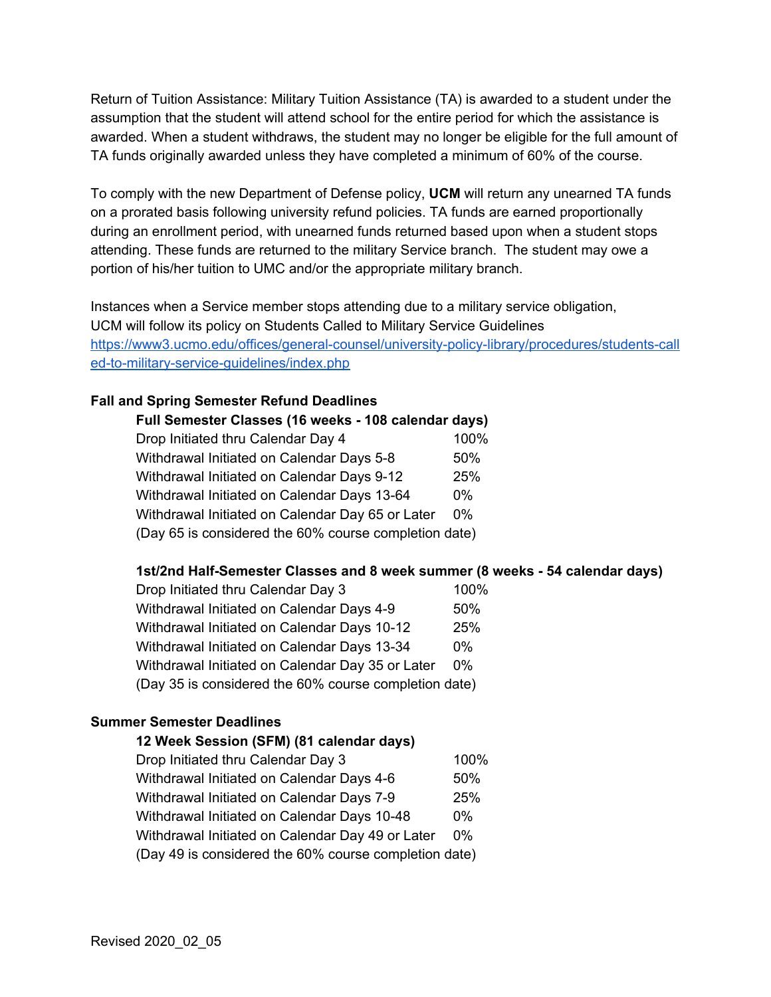Return of Tuition Assistance: Military Tuition Assistance (TA) is awarded to a student under the assumption that the student will attend school for the entire period for which the assistance is awarded. When a student withdraws, the student may no longer be eligible for the full amount of TA funds originally awarded unless they have completed a minimum of 60% of the course.

To comply with the new Department of Defense policy, **UCM** will return any unearned TA funds on a prorated basis following university refund policies. TA funds are earned proportionally during an enrollment period, with unearned funds returned based upon when a student stops attending. These funds are returned to the military Service branch. The student may owe a portion of his/her tuition to UMC and/or the appropriate military branch.

Instances when a Service member stops attending due to a military service obligation, UCM will follow its policy on Students Called to Military Service Guidelines [https://www3.ucmo.edu/offices/general-counsel/university-policy-library/procedures/students-call](https://www3.ucmo.edu/offices/general-counsel/university-policy-library/procedures/students-called-to-military-service-guidelines/index.php) [ed-to-military-service-guidelines/index.php](https://www3.ucmo.edu/offices/general-counsel/university-policy-library/procedures/students-called-to-military-service-guidelines/index.php)

## **Fall and Spring Semester Refund Deadlines**

| Full Semester Classes (16 weeks - 108 calendar days)  |       |  |
|-------------------------------------------------------|-------|--|
| Drop Initiated thru Calendar Day 4                    | 100%  |  |
| Withdrawal Initiated on Calendar Days 5-8             | 50%   |  |
| Withdrawal Initiated on Calendar Days 9-12            | 25%   |  |
| Withdrawal Initiated on Calendar Days 13-64           | $0\%$ |  |
| Withdrawal Initiated on Calendar Day 65 or Later      | $0\%$ |  |
| (Day 65 is considered the 60% course completion date) |       |  |

## **1st/2nd Half-Semester Classes and 8 week summer (8 weeks - 54 calendar days)**

| Drop Initiated thru Calendar Day 3                    | 100%  |  |
|-------------------------------------------------------|-------|--|
| Withdrawal Initiated on Calendar Days 4-9             | 50%   |  |
| Withdrawal Initiated on Calendar Days 10-12           | 25%   |  |
| Withdrawal Initiated on Calendar Days 13-34           | $0\%$ |  |
| Withdrawal Initiated on Calendar Day 35 or Later      | $0\%$ |  |
| (Day 35 is considered the 60% course completion date) |       |  |

## **Summer Semester Deadlines**

| 12 Week Session (SFM) (81 calendar days)              |       |  |
|-------------------------------------------------------|-------|--|
| Drop Initiated thru Calendar Day 3                    | 100%  |  |
| Withdrawal Initiated on Calendar Days 4-6             | 50%   |  |
| Withdrawal Initiated on Calendar Days 7-9             | 25%   |  |
| Withdrawal Initiated on Calendar Days 10-48           | በ%    |  |
| Withdrawal Initiated on Calendar Day 49 or Later      | $0\%$ |  |
| (Day 49 is considered the 60% course completion date) |       |  |